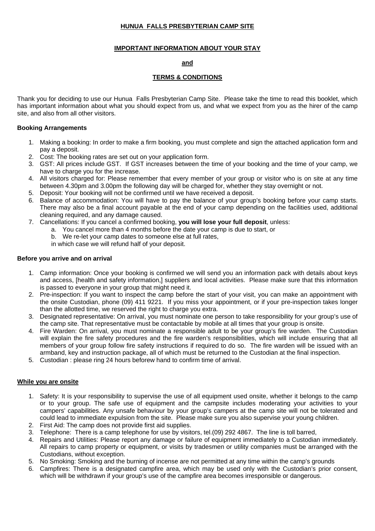# **HUNUA FALLS PRESBYTERIAN CAMP SITE**

## **IMPORTANT INFORMATION ABOUT YOUR STAY**

## **and**

## **TERMS & CONDITIONS**

Thank you for deciding to use our Hunua Falls Presbyterian Camp Site. Please take the time to read this booklet, which has important information about what you should expect from us, and what we expect from you as the hirer of the camp site, and also from all other visitors.

### **Booking Arrangements**

- 1. Making a booking: In order to make a firm booking, you must complete and sign the attached application form and pay a deposit.
- 2. Cost: The booking rates are set out on your application form.
- 3. GST: All prices include GST. If GST increases between the time of your booking and the time of your camp, we have to charge you for the increase.
- 4. All visitors charged for: Please remember that every member of your group or visitor who is on site at any time between 4.30pm and 3.00pm the following day will be charged for, whether they stay overnight or not.
- 5. Deposit: Your booking will not be confirmed until we have received a deposit.
- 6. Balance of accommodation: You will have to pay the balance of your group's booking before your camp starts. There may also be a final account payable at the end of your camp depending on the facilities used, additional cleaning required, and any damage caused.
- 7. Cancellations: If you cancel a confirmed booking, **you will lose your full deposit**, unless:
	- a. You cancel more than 4 months before the date your camp is due to start, or
	- b. We re-let your camp dates to someone else at full rates,
	- in which case we will refund half of your deposit.

### **Before you arrive and on arrival**

- 1. Camp information: Once your booking is confirmed we will send you an information pack with details about keys and access, [health and safety information,] suppliers and local activities. Please make sure that this information is passed to everyone in your group that might need it.
- 2. Pre-inspection: If you want to inspect the camp before the start of your visit, you can make an appointment with the onsite Custodian, phone (09) 411 9221. If you miss your appointment, or if your pre-inspection takes longer than the allotted time, we reserved the right to charge you extra.
- 3. Designated representative: On arrival, you must nominate one person to take responsibility for your group's use of the camp site. That representative must be contactable by mobile at all times that your group is onsite.
- 4. Fire Warden: On arrival, you must nominate a responsible adult to be your group's fire warden. The Custodian will explain the fire safety procedures and the fire warden's responsibilities, which will include ensuring that all members of your group follow fire safety instructions if required to do so. The fire warden will be issued with an armband, key and instruction package, all of which must be returned to the Custodian at the final inspection.
- 5. Custodian : please ring 24 hours beforew hand to confirm time of arrival.

#### **While you are onsite**

- 1. Safety: It is your responsibility to supervise the use of all equipment used onsite, whether it belongs to the camp or to your group. The safe use of equipment and the campsite includes moderating your activities to your campers' capabilities. Any unsafe behaviour by your group's campers at the camp site will not be tolerated and could lead to immediate expulsion from the site. Please make sure you also supervise your young children.
- 2. First Aid: The camp does not provide first aid supplies.
- 3. Telephone: There is a camp telephone for use by visitors, tel.(09) 292 4867. The line is toll barred,
- 4. Repairs and Utilities: Please report any damage or failure of equipment immediately to a Custodian immediately. All repairs to camp property or equipment, or visits by tradesmen or utility companies must be arranged with the Custodians, without exception.
- 5. No Smoking: Smoking and the burning of incense are not permitted at any time within the camp's grounds
- 6. Campfires: There is a designated campfire area, which may be used only with the Custodian's prior consent, which will be withdrawn if your group's use of the campfire area becomes irresponsible or dangerous.